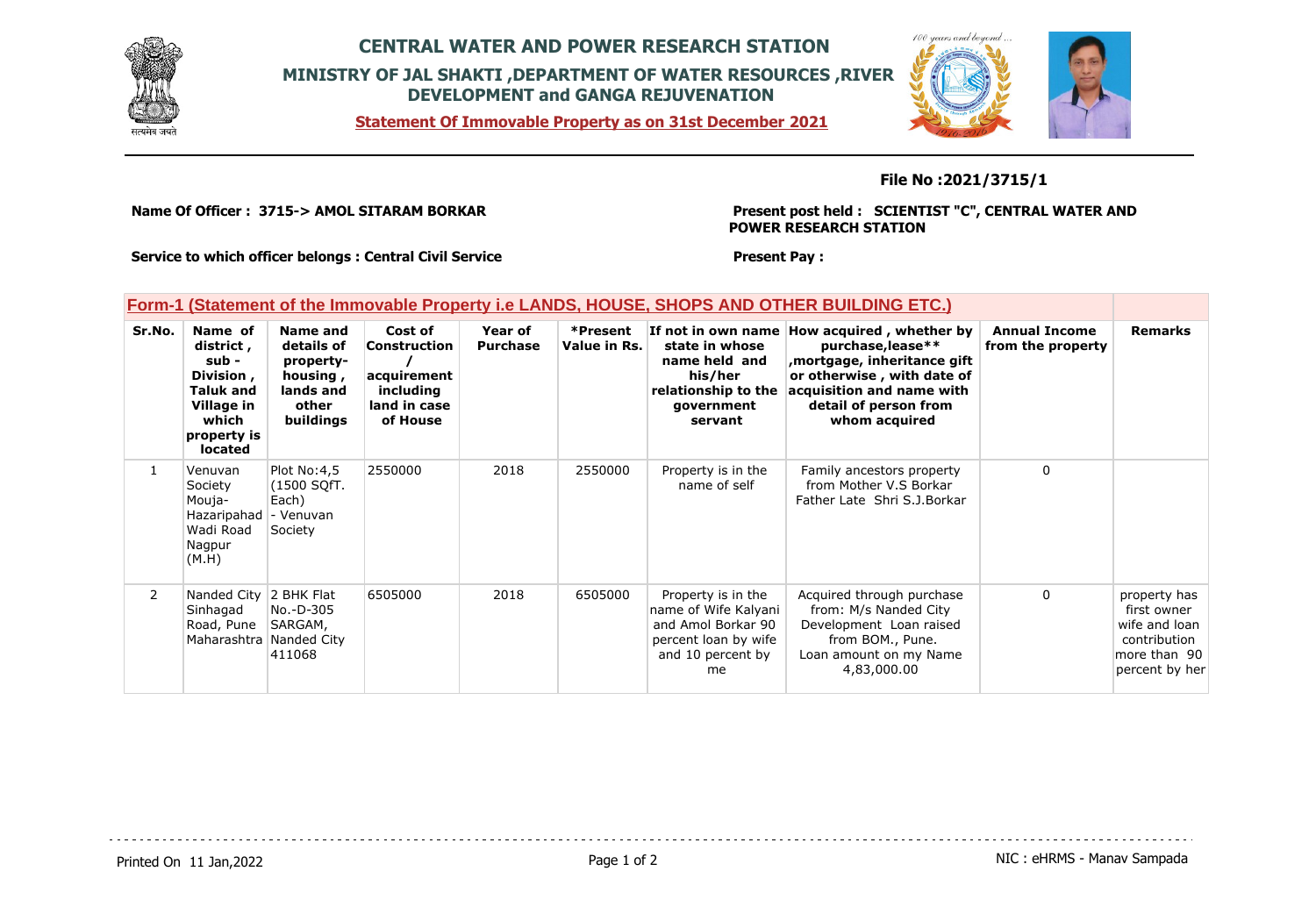

# **CENTRAL WATER AND POWER RESEARCH STATION MINISTRY OF JAL SHAKTI ,DEPARTMENT OF WATER RESOURCES ,RIVER DEVELOPMENT and GANGA REJUVENATION**

**Statement Of Immovable Property as on 31st December 2021**



### **File No :2021/3715/1**

**Name Of Officer : 3715-> AMOL SITARAM BORKAR** 

#### **Present post held : SCIENTIST "C", CENTRAL WATER AND POWER RESEARCH STATION**

**Service to which officer belongs : Central Civil Service**

### **Form-1 (Statement of the Immovable Property i.e LANDS, HOUSE, SHOPS AND OTHER BUILDING ETC.)**

| Sr.No.         | Name of<br>district,<br>sub -<br>Division,<br><b>Taluk and</b><br>Village in<br>which<br>property is<br><b>located</b> | Name and<br>details of<br>property-<br>housing,<br>lands and<br>other<br>buildings | Cost of<br>Construction<br>acquirement<br>including<br>land in case<br>of House | Year of<br><b>Purchase</b> | *Present<br>Value in Rs. | If not in own name<br>state in whose<br>name held and<br>his/her<br>relationship to the<br>government<br>servant    | How acquired, whether by<br>purchase, lease**<br>, mortgage, inheritance gift<br>or otherwise, with date of<br>acquisition and name with<br>detail of person from<br>whom acquired | <b>Annual Income</b><br>from the property | <b>Remarks</b>                                                                                 |
|----------------|------------------------------------------------------------------------------------------------------------------------|------------------------------------------------------------------------------------|---------------------------------------------------------------------------------|----------------------------|--------------------------|---------------------------------------------------------------------------------------------------------------------|------------------------------------------------------------------------------------------------------------------------------------------------------------------------------------|-------------------------------------------|------------------------------------------------------------------------------------------------|
|                | Venuvan<br>Society<br>Mouja-<br>Hazaripahad<br>Wadi Road<br>Nagpur<br>(M.H)                                            | Plot No: 4,5<br>(1500 SOfT.<br>Each)<br>- Venuvan<br>Society                       | 2550000                                                                         | 2018                       | 2550000                  | Property is in the<br>name of self                                                                                  | Family ancestors property<br>from Mother V.S Borkar<br>Father Late Shri S.J.Borkar                                                                                                 | $\mathbf{0}$                              |                                                                                                |
| $\overline{2}$ | Nanded City 2 BHK Flat<br>Sinhagad<br>Road, Pune                                                                       | No.-D-305<br>SARGAM,<br>Maharashtra Nanded City<br>411068                          | 6505000                                                                         | 2018                       | 6505000                  | Property is in the<br>name of Wife Kalyani<br>and Amol Borkar 90<br>percent loan by wife<br>and 10 percent by<br>me | Acquired through purchase<br>from: M/s Nanded City<br>Development Loan raised<br>from BOM., Pune.<br>Loan amount on my Name<br>4,83,000.00                                         | 0                                         | property has<br>first owner<br>wife and loan<br>contribution<br>more than 90<br>percent by her |

**Present Pay :**